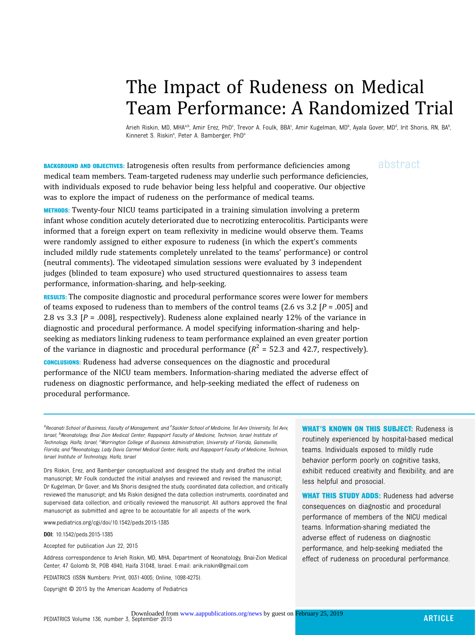# The Impact of Rudeness on Medical Team Performance: A Randomized Trial

Arieh Riskin, MD, MHAªʰ, Amir Erez, PhDº, Trevor A. Foulk, BBAº, Amir Kugelman, MDʰ, Ayala Gover, MDª, Irit Shoris, RN, BAʰ , Kinneret S. Riskin<sup>e</sup>, Peter A. Bamberger, PhD<sup>a</sup>

**BACKGROUND AND OBJECTIVES:** Iatrogenesis often results from performance deficiencies among abstract medical team members. Team-targeted rudeness may underlie such performance deficiencies, with individuals exposed to rude behavior being less helpful and cooperative. Our objective was to explore the impact of rudeness on the performance of medical teams.

METHODS: Twenty-four NICU teams participated in a training simulation involving a preterm infant whose condition acutely deteriorated due to necrotizing enterocolitis. Participants were informed that a foreign expert on team reflexivity in medicine would observe them. Teams were randomly assigned to either exposure to rudeness (in which the expert's comments included mildly rude statements completely unrelated to the teams' performance) or control (neutral comments). The videotaped simulation sessions were evaluated by 3 independent judges (blinded to team exposure) who used structured questionnaires to assess team performance, information-sharing, and help-seeking.

**RESULTS:** The composite diagnostic and procedural performance scores were lower for members of teams exposed to rudeness than to members of the control teams (2.6 vs 3.2  $[P = .005]$  and 2.8 vs 3.3  $[P = .008]$ , respectively). Rudeness alone explained nearly 12% of the variance in diagnostic and procedural performance. A model specifying information-sharing and helpseeking as mediators linking rudeness to team performance explained an even greater portion of the variance in diagnostic and procedural performance  $(R^2 = 52.3$  and 42.7, respectively).

CONCLUSIONS: Rudeness had adverse consequences on the diagnostic and procedural performance of the NICU team members. Information-sharing mediated the adverse effect of rudeness on diagnostic performance, and help-seeking mediated the effect of rudeness on procedural performance.

aRecanati School of Business, Faculty of Management, and <sup>e</sup>Sackler School of Medicine, Tel Aviv University, Tel Aviv, Israel; <sup>b</sup>Neonatology, Bnai Zion Medical Center, Rappaport Faculty of Medicine, Technion, Israel Institute of Technology, Haifa, Israel; <sup>c</sup>Warrington College of Business Administration, University of Florida, Gainesville, Florida; and <sup>d</sup>Neonatology, Lady Davis Carmel Medical Center, Haifa, and Rappaport Faculty of Medicine, Technion, Israel Institute of Technology, Haifa, Israel

Drs Riskin, Erez, and Bamberger conceptualized and designed the study and drafted the initial manuscript; Mr Foulk conducted the initial analyses and reviewed and revised the manuscript; Dr Kugelman, Dr Gover, and Ms Shoris designed the study, coordinated data collection, and critically reviewed the manuscript; and Ms Riskin designed the data collection instruments, coordinated and supervised data collection, and critically reviewed the manuscript. All authors approved the final manuscript as submitted and agree to be accountable for all aspects of the work.

www.pediatrics.org/cgi/doi/10.1542/peds.2015-1385

DOI: 10.1542/peds.2015-1385

Accepted for publication Jun 22, 2015

Address correspondence to Arieh Riskin, MD, MHA, Department of Neonatology, Bnai-Zion Medical Center, 47 Golomb St, POB 4940, Haifa 31048, Israel. E-mail: [arik.riskin@gmail.com](mailto:arik.riskin@gmail.com)

PEDIATRICS (ISSN Numbers: Print, 0031-4005; Online, 1098-4275).

Copyright © 2015 by the American Academy of Pediatrics

WHAT'S KNOWN ON THIS SUBJECT: Rudeness is routinely experienced by hospital-based medical teams. Individuals exposed to mildly rude behavior perform poorly on cognitive tasks, exhibit reduced creativity and flexibility, and are less helpful and prosocial.

WHAT THIS STUDY ADDS: Rudeness had adverse consequences on diagnostic and procedural performance of members of the NICU medical teams. Information-sharing mediated the adverse effect of rudeness on diagnostic performance, and help-seeking mediated the effect of rudeness on procedural performance.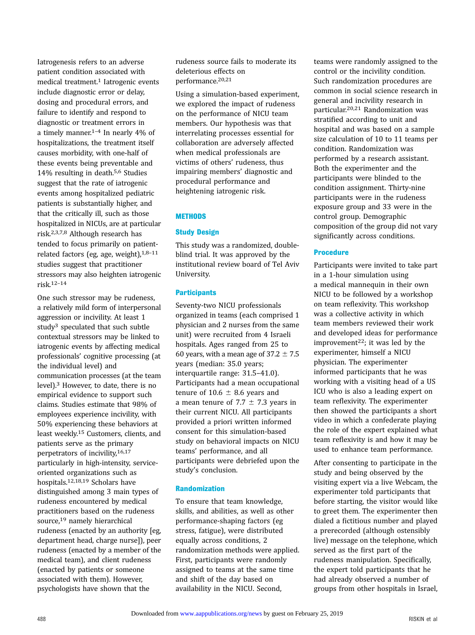Iatrogenesis refers to an adverse patient condition associated with medical treatment.<sup>1</sup> Iatrogenic events include diagnostic error or delay, dosing and procedural errors, and failure to identify and respond to diagnostic or treatment errors in a timely manner.1–<sup>4</sup> In nearly 4% of hospitalizations, the treatment itself causes morbidity, with one-half of these events being preventable and 14% resulting in death.5,6 Studies suggest that the rate of iatrogenic events among hospitalized pediatric patients is substantially higher, and that the critically ill, such as those hospitalized in NICUs, are at particular risk.2,3,7,8 Although research has tended to focus primarily on patientrelated factors (eg, age, weight), $1,8-11$ studies suggest that practitioner stressors may also heighten iatrogenic risk.12–<sup>14</sup>

One such stressor may be rudeness, a relatively mild form of interpersonal aggression or incivility. At least 1 study<sup>3</sup> speculated that such subtle contextual stressors may be linked to iatrogenic events by affecting medical professionals' cognitive processing (at the individual level) and communication processes (at the team level).3 However, to date, there is no empirical evidence to support such claims. Studies estimate that 98% of employees experience incivility, with 50% experiencing these behaviors at least weekly.15 Customers, clients, and patients serve as the primary perpetrators of incivility,16,17 particularly in high-intensity, serviceoriented organizations such as hospitals.12,18,19 Scholars have distinguished among 3 main types of rudeness encountered by medical practitioners based on the rudeness source,19 namely hierarchical rudeness (enacted by an authority [eg, department head, charge nurse]), peer rudeness (enacted by a member of the medical team), and client rudeness (enacted by patients or someone associated with them). However, psychologists have shown that the

rudeness source fails to moderate its deleterious effects on performance.20,21

Using a simulation-based experiment, we explored the impact of rudeness on the performance of NICU team members. Our hypothesis was that interrelating processes essential for collaboration are adversely affected when medical professionals are victims of others' rudeness, thus impairing members' diagnostic and procedural performance and heightening iatrogenic risk.

# **METHODS**

#### Study Design

This study was a randomized, doubleblind trial. It was approved by the institutional review board of Tel Aviv University.

#### **Participants**

Seventy-two NICU professionals organized in teams (each comprised 1 physician and 2 nurses from the same unit) were recruited from 4 Israeli hospitals. Ages ranged from 25 to 60 years, with a mean age of  $37.2 \pm 7.5$ years (median: 35.0 years; interquartile range: 31.5–41.0). Participants had a mean occupational tenure of  $10.6 \pm 8.6$  years and a mean tenure of 7.7  $\pm$  7.3 years in their current NICU. All participants provided a priori written informed consent for this simulation-based study on behavioral impacts on NICU teams' performance, and all participants were debriefed upon the study's conclusion.

# Randomization

To ensure that team knowledge, skills, and abilities, as well as other performance-shaping factors (eg stress, fatigue), were distributed equally across conditions, 2 randomization methods were applied. First, participants were randomly assigned to teams at the same time and shift of the day based on availability in the NICU. Second,

teams were randomly assigned to the control or the incivility condition. Such randomization procedures are common in social science research in general and incivility research in particular.20,21 Randomization was stratified according to unit and hospital and was based on a sample size calculation of 10 to 11 teams per condition. Randomization was performed by a research assistant. Both the experimenter and the participants were blinded to the condition assignment. Thirty-nine participants were in the rudeness exposure group and 33 were in the control group. Demographic composition of the group did not vary significantly across conditions.

# Procedure

Participants were invited to take part in a 1-hour simulation using a medical mannequin in their own NICU to be followed by a workshop on team reflexivity. This workshop was a collective activity in which team members reviewed their work and developed ideas for performance improvement<sup>22</sup>; it was led by the experimenter, himself a NICU physician. The experimenter informed participants that he was working with a visiting head of a US ICU who is also a leading expert on team reflexivity. The experimenter then showed the participants a short video in which a confederate playing the role of the expert explained what team reflexivity is and how it may be used to enhance team performance.

After consenting to participate in the study and being observed by the visiting expert via a live Webcam, the experimenter told participants that before starting, the visitor would like to greet them. The experimenter then dialed a fictitious number and played a prerecorded (although ostensibly live) message on the telephone, which served as the first part of the rudeness manipulation. Specifically, the expert told participants that he had already observed a number of groups from other hospitals in Israel,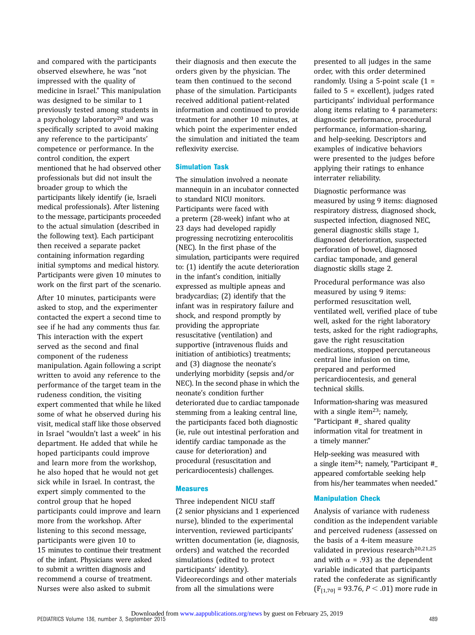and compared with the participants observed elsewhere, he was "not impressed with the quality of medicine in Israel." This manipulation was designed to be similar to 1 previously tested among students in a psychology laboratory20 and was specifically scripted to avoid making any reference to the participants' competence or performance. In the control condition, the expert mentioned that he had observed other professionals but did not insult the broader group to which the participants likely identify (ie, Israeli medical professionals). After listening to the message, participants proceeded to the actual simulation (described in the following text). Each participant then received a separate packet containing information regarding initial symptoms and medical history. Participants were given 10 minutes to work on the first part of the scenario.

After 10 minutes, participants were asked to stop, and the experimenter contacted the expert a second time to see if he had any comments thus far. This interaction with the expert served as the second and final component of the rudeness manipulation. Again following a script written to avoid any reference to the performance of the target team in the rudeness condition, the visiting expert commented that while he liked some of what he observed during his visit, medical staff like those observed in Israel "wouldn't last a week" in his department. He added that while he hoped participants could improve and learn more from the workshop, he also hoped that he would not get sick while in Israel. In contrast, the expert simply commented to the control group that he hoped participants could improve and learn more from the workshop. After listening to this second message, participants were given 10 to 15 minutes to continue their treatment of the infant. Physicians were asked to submit a written diagnosis and recommend a course of treatment. Nurses were also asked to submit

their diagnosis and then execute the orders given by the physician. The team then continued to the second phase of the simulation. Participants received additional patient-related information and continued to provide treatment for another 10 minutes, at which point the experimenter ended the simulation and initiated the team reflexivity exercise.

#### Simulation Task

The simulation involved a neonate mannequin in an incubator connected to standard NICU monitors. Participants were faced with a preterm (28-week) infant who at 23 days had developed rapidly progressing necrotizing enterocolitis (NEC). In the first phase of the simulation, participants were required to: (1) identify the acute deterioration in the infant's condition, initially expressed as multiple apneas and bradycardias; (2) identify that the infant was in respiratory failure and shock, and respond promptly by providing the appropriate resuscitative (ventilation) and supportive (intravenous fluids and initiation of antibiotics) treatments; and (3) diagnose the neonate's underlying morbidity (sepsis and/or NEC). In the second phase in which the neonate's condition further deteriorated due to cardiac tamponade stemming from a leaking central line, the participants faced both diagnostic (ie, rule out intestinal perforation and identify cardiac tamponade as the cause for deterioration) and procedural (resuscitation and pericardiocentesis) challenges.

#### Measures

Three independent NICU staff (2 senior physicians and 1 experienced nurse), blinded to the experimental intervention, reviewed participants' written documentation (ie, diagnosis, orders) and watched the recorded simulations (edited to protect participants' identity). Videorecordings and other materials from all the simulations were

presented to all judges in the same order, with this order determined randomly. Using a 5-point scale (1 = failed to  $5 =$  excellent), judges rated participants' individual performance along items relating to 4 parameters: diagnostic performance, procedural performance, information-sharing, and help-seeking. Descriptors and examples of indicative behaviors were presented to the judges before applying their ratings to enhance interrater reliability.

Diagnostic performance was measured by using 9 items: diagnosed respiratory distress, diagnosed shock, suspected infection, diagnosed NEC, general diagnostic skills stage 1, diagnosed deterioration, suspected perforation of bowel, diagnosed cardiac tamponade, and general diagnostic skills stage 2.

Procedural performance was also measured by using 9 items: performed resuscitation well, ventilated well, verified place of tube well, asked for the right laboratory tests, asked for the right radiographs, gave the right resuscitation medications, stopped percutaneous central line infusion on time, prepared and performed pericardiocentesis, and general technical skills.

Information-sharing was measured with a single item<sup>23</sup>; namely, "Participant #\_ shared quality information vital for treatment in a timely manner."

Help-seeking was measured with a single item24; namely, "Participant #\_ appeared comfortable seeking help from his/her teammates when needed."

#### Manipulation Check

Analysis of variance with rudeness condition as the independent variable and perceived rudeness (assessed on the basis of a 4-item measure validated in previous research<sup>20,21,25</sup> and with  $\alpha$  = .93) as the dependent variable indicated that participants rated the confederate as significantly  $(F_{[1,70]} = 93.76, P < .01)$  more rude in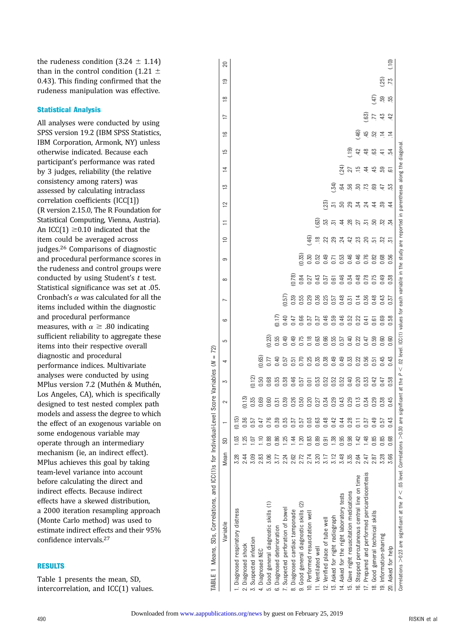the rudeness condition  $(3.24 \pm 1.14)$ than in the control condition (1.21  $\pm$ 0.43). This finding confirmed that the rudeness manipulation was effective.

### Statistical Analysis

All analyses were conducted by using SPSS version 19.2 (IBM SPSS Statistics, IBM Corporation, Armonk, NY) unless otherwise indicated. Because each participant's performance was rated by 3 judges, reliability (the relative consistency among raters) was assessed by calculating intraclass correlation coefficients (ICC[1]) (R version 2.15.0, The R Foundation for Statistical Computing, Vienna, Austria). An ICC(1)  $\geq$  0.10 indicated that the item could be averaged across judges.26 Comparisons of diagnostic and procedural performance scores in the rudeness and control groups were conducted by using Student's  $t$  test. Statistical significance was set at .05. Cronbach's  $\alpha$  was calculated for all the items included within the diagnostic and procedural performance measures, with  $\alpha \geq .80$  indicating sufficient reliability to aggregate these items into their respective overall diagnostic and procedural performance indices. Multivariate analyses were conducted by using MPlus version 7.2 (Muthén & Muthén, Los Angeles, CA), which is specifically designed to test nested complex path models and assess the degree to which the effect of an exogenous variable on some endogenous variable may operate through an intermediary mechanism (ie, an indirect effect). MPlus achieves this goal by taking team-level variance into account before calculating the direct and indirect effects. Because indirect effects have a skewed distribution, a 2000 iteration resampling approach (Monte Carlo method) was used to estimate indirect effects and their 95% confidence intervals.27

### RESULTS

Table 1 presents the mean, SD, intercorrelation, and ICC(1) values.

| ç<br>Ń                                    |
|-------------------------------------------|
| $\parallel$                               |
| Ē                                         |
|                                           |
|                                           |
| $\ddot{\phantom{0}}$<br>ì<br>Í<br>55<br>Ì |
| ما منگ ام                                 |
|                                           |
| :<br>ء<br>ہ                               |
| $\frac{1}{2}$<br>i                        |
| ì<br>١<br>l                               |
|                                           |
|                                           |
| ś<br>ŀ                                    |

| TABLE 1 Means, SDs, Correlations, and ICC(1)s for Individual-Ley                                                     |      |                | $\overline{\mathbb{P}}$ | Score Variables |                   | 72)<br>$\leq$   |             |                                                                                                        |                |              |      |                          |                 |              |                  |                |                       |     |      |     |               |
|----------------------------------------------------------------------------------------------------------------------|------|----------------|-------------------------|-----------------|-------------------|-----------------|-------------|--------------------------------------------------------------------------------------------------------|----------------|--------------|------|--------------------------|-----------------|--------------|------------------|----------------|-----------------------|-----|------|-----|---------------|
| Variable                                                                                                             | Mean | S <sub>D</sub> |                         | 2               | 2                 | 4               | 5           | မ                                                                                                      | $\overline{ }$ | $\infty$     | တ    | $\supseteq$              | Ξ               | $\mathbf{r}$ | ΣĻ               | $\overline{4}$ | $\overline{9}$<br>5   | 17  | ≌    | ë   | $\Omega$      |
| 1. Diagnosed respiratory distress                                                                                    | 3.28 |                | (0.15)                  |                 |                   |                 |             |                                                                                                        |                |              |      |                          |                 |              |                  |                |                       |     |      |     |               |
| 2. Diagnosed shock                                                                                                   | 2.44 | 25             | 0.36                    | (0.15)          |                   |                 |             |                                                                                                        |                |              |      |                          |                 |              |                  |                |                       |     |      |     |               |
| 3. Suspected infection                                                                                               | 3.09 |                | 0.57                    | 0.35            | (0.12)            |                 |             |                                                                                                        |                |              |      |                          |                 |              |                  |                |                       |     |      |     |               |
| 4. Diagnosed NEC                                                                                                     | 2.83 |                | 0.47                    | 0.69            | 0.50              | 0.65            |             |                                                                                                        |                |              |      |                          |                 |              |                  |                |                       |     |      |     |               |
| 5. Good general diagnostic skills (1)                                                                                | 3.06 |                | 0.76                    | <b>D.60</b>     | 0.68              | 577             | 0.23        |                                                                                                        |                |              |      |                          |                 |              |                  |                |                       |     |      |     |               |
| 6. Diagnosed deterioration                                                                                           | 3.77 | 0.86           | 0.35                    | 0.51            | 0.35              | 0.40            | 0.55        | (17)                                                                                                   |                |              |      |                          |                 |              |                  |                |                       |     |      |     |               |
| 7. Suspected perforation of bowel                                                                                    | 2.24 |                | 0.35                    | 0.39            | 0.38              | 0.57            | 0.49        | 0.40                                                                                                   | 0.57           |              |      |                          |                 |              |                  |                |                       |     |      |     |               |
| 8. Diagnosed cardiac tamponade                                                                                       | 2.62 | 1.44           | 0.57                    | 0.26            | 0.46              | 51              | 0.49        | 747                                                                                                    | 0.39           | 0.78         |      |                          |                 |              |                  |                |                       |     |      |     |               |
| 9. Good general diagnostic skills (2)                                                                                | 2.72 |                | 0.57                    | 0.50            | 0.57              | $\overline{17}$ | 0.75        | <b>3.66</b>                                                                                            | <b>0.55</b>    | 0.84         | 0.35 |                          |                 |              |                  |                |                       |     |      |     |               |
| 10. Performed resuscitation well                                                                                     | 2.74 | 0.83           | 0.03                    | 0.20            | $\overline{0.01}$ | 25              | 0.18        | 37                                                                                                     | 0.29           | 0.27<br>0.43 | 0.30 | $\overline{46}$          |                 |              |                  |                |                       |     |      |     |               |
| 11. Ventilated well                                                                                                  | 3.20 | 0.89           | 0.63                    | 0.27            | 0.53              | 3.55            | 0.63        | 0.57                                                                                                   | 0.36           |              | 0.52 | $\approx$                | 63)             |              |                  |                |                       |     |      |     |               |
| 12. Verified place of tube well                                                                                      | 3.17 | 0.91           | 0.48                    | 0.34            | 0.52              | 38              | 0.66        | 0.46                                                                                                   | 0.25           | 137<br>161   | 0.49 | 22                       | 53              | 23           |                  |                |                       |     |      |     |               |
| 13. Asked for right radiograph                                                                                       | 3.12 | 1.38           | 0.42                    | 0.29            | 0.52              | 0.49            | 0.55        | 0.59                                                                                                   | 0.57           |              | .71  | 29                       | $\overline{51}$ | 51           | 34)              |                |                       |     |      |     |               |
| 14. Asked for the right laboratory tests                                                                             | 3.48 | 0.95           | 64                      | 0.43            | 0.52              | 9.49            | 0.57        | 0.46                                                                                                   | 0.48           | 0.46         | 0.53 | $\overline{24}$          | $\ddot{a}$      | 50           | 54               | 24)            |                       |     |      |     |               |
| 15. Gave right resuscitation medications                                                                             | 3.35 | 0.98           | 0.28                    | 0.29            | $\frac{40}{5}$    | <b>525</b>      | 0.40        | 0.52                                                                                                   | 0.51           | 0.34         | 0.46 | 42                       |                 | 29           | 27<br>56         |                | <u>ີດ</u>             |     |      |     |               |
| 16. Stopped percutaneous central line on time                                                                        | 2.64 | 1.42           | $\overline{11}$         | 0.15            | 0.2C              | 22              | 22          | 0.22                                                                                                   | 0.14           | 0.48         | 0.46 | 23                       | $28$ $75$       | 22           | 50               |                | $\overline{46}$<br>42 |     |      |     |               |
| 17. Prepared and performed pericardiocentesis                                                                        | 2.47 | 1.48           | 0.57                    | 0.34            | <b>SST</b>        | <b>J.56</b>     | 147         | 141                                                                                                    | 0.36           | 0.78         | 0.76 | $\overline{\mathcal{E}}$ |                 | 24           | 44<br>73         | $\frac{8}{3}$  | 45                    | G3) |      |     |               |
| 18. Good general technical skills                                                                                    | 2.87 |                | 0.49                    | 0.29            | 3.42              | 1.51            | <b>D.59</b> | ج                                                                                                      | 0.48           | 0.75         | 0.82 | 51                       | S               | 4            | 45<br>ස          | 3              | 52                    | 77  | (47) |     |               |
| 19. Information-sharing                                                                                              | 3.28 | 0.85           | 0.57                    | 0.38            | 0.47              | 0.45            | 0.60        | 0.69                                                                                                   | 0.43           | 0.49         | 0.68 | 52                       | 52              | 82           | 59<br>$\ddot{t}$ | $\pm$          | $\overline{1}$        | 45  | ß5   | 25) |               |
| 20. Asked for help                                                                                                   | 3.66 | 0.68           | 0.43                    | 0.45            | 0.58              | 0.43            | 0.60        | 0.58                                                                                                   | 0.57           | 0.38         | 0.56 | 으                        | 엎               | 乧            | جة<br>없          | 54             | $\overline{4}$        | 42  | 멂    | 73  | $\frac{1}{2}$ |
| Correlations >0.23 are significant at the $P \lt 0.05$ level. Correlations >0.30 are significant at the $P \lt 0.50$ |      |                |                         |                 |                   |                 |             | .02 level. ICC(1) values for each variable in the study are reported in parentheses along the diagonal |                |              |      |                          |                 |              |                  |                |                       |     |      |     |               |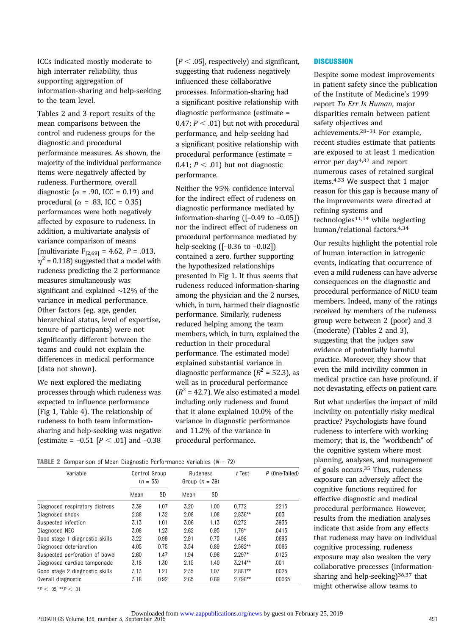ICCs indicated mostly moderate to high interrater reliability, thus supporting aggregation of information-sharing and help-seeking to the team level.

Tables 2 and 3 report results of the mean comparisons between the control and rudeness groups for the diagnostic and procedural performance measures. As shown, the majority of the individual performance items were negatively affected by rudeness. Furthermore, overall diagnostic ( $\alpha$  = .90, ICC = 0.19) and procedural ( $\alpha$  = .83, ICC = 0.35) performances were both negatively affected by exposure to rudeness. In addition, a multivariate analysis of variance comparison of means (multivariate  $F_{[2,69]} = 4.62$ ,  $P = .013$ ,  $\eta^2$  = 0.118) suggested that a model with rudeness predicting the 2 performance measures simultaneously was significant and explained ∼12% of the variance in medical performance. Other factors (eg, age, gender, hierarchical status, level of expertise, tenure of participants) were not significantly different between the teams and could not explain the differences in medical performance (data not shown).

We next explored the mediating processes through which rudeness was expected to influence performance (Fig 1, Table 4). The relationship of rudeness to both team informationsharing and help-seeking was negative (estimate =  $-0.51$  [ $P < .01$ ] and  $-0.38$ 

 $[P < .05]$ , respectively) and significant, suggesting that rudeness negatively influenced these collaborative processes. Information-sharing had a significant positive relationship with diagnostic performance (estimate = 0.47;  $P < .01$ ) but not with procedural performance, and help-seeking had a significant positive relationship with procedural performance (estimate = 0.41;  $P < .01$ ) but not diagnostic performance.

Neither the 95% confidence interval for the indirect effect of rudeness on diagnostic performance mediated by information-sharing ([–0.49 to –0.05]) nor the indirect effect of rudeness on procedural performance mediated by help-seeking ([–0.36 to –0.02]) contained a zero, further supporting the hypothesized relationships presented in Fig 1. It thus seems that rudeness reduced information-sharing among the physician and the 2 nurses, which, in turn, harmed their diagnostic performance. Similarly, rudeness reduced helping among the team members, which, in turn, explained the reduction in their procedural performance. The estimated model explained substantial variance in diagnostic performance  $(R^2 = 52.3)$ , as well as in procedural performance  $(R^{2} = 42.7)$ . We also estimated a model including only rudeness and found that it alone explained 10.0% of the variance in diagnostic performance and 11.2% of the variance in procedural performance.

#### **TABLE 2** Comparison of Mean Diagnostic Performance Variables  $(N = 72)$

| Variable                       | Control Group<br>$(n = 33)$ |      | Rudeness<br>Group $(n = 39)$ |      | $t$ Test  | $P$ (One-Tailed) |
|--------------------------------|-----------------------------|------|------------------------------|------|-----------|------------------|
|                                | Mean                        | SD   | Mean                         | SD   |           |                  |
| Diagnosed respiratory distress | 3.39                        | 1.07 | 3.20                         | 1.00 | 0.772     | .2215            |
| Diagnosed shock                | 2.88                        | 1.32 | 2.08                         | 1.08 | $2.836**$ | .003             |
| Suspected infection            | 3.13                        | 1.01 | 3.06                         | 1.13 | 0.272     | .3935            |
| Diagnosed NEC                  | 3.08                        | 1.23 | 2.62                         | 0.95 | $1.76*$   | .0415            |
| Good stage 1 diagnostic skills | 3.22                        | 0.99 | 2.91                         | 0.75 | 1.498     | .0695            |
| Diagnosed deterioration        | 4.05                        | 0.75 | 3.54                         | 0.89 | $2.562**$ | .0065            |
| Suspected perforation of bowel | 2.60                        | 1.47 | 1.94                         | 0.96 | $2.297*$  | .0125            |
| Diagnosed cardiac tamponade    | 3.18                        | 1.30 | 2.15                         | 1.40 | $3.214**$ | .001             |
| Good stage 2 diagnostic skills | 3.13                        | 1.21 | 2.35                         | 1.07 | $2.881**$ | .0025            |
| Overall diagnostic             | 3.18                        | 0.92 | 2.65                         | 0.69 | $2.796**$ | .00035           |

 $*P < .05$ ,  $*P < .01$ .

**DISCUSSION** 

Despite some modest improvements in patient safety since the publication of the Institute of Medicine's 1999 report To Err Is Human, major disparities remain between patient safety objectives and achievements.28–<sup>31</sup> For example, recent studies estimate that patients are exposed to at least 1 medication error per day4,32 and report numerous cases of retained surgical items.4,33 We suspect that 1 major reason for this gap is because many of the improvements were directed at refining systems and technologies11,14 while neglecting human/relational factors.4,34

Our results highlight the potential role of human interaction in iatrogenic events, indicating that occurrence of even a mild rudeness can have adverse consequences on the diagnostic and procedural performance of NICU team members. Indeed, many of the ratings received by members of the rudeness group were between 2 (poor) and 3 (moderate) (Tables 2 and 3), suggesting that the judges saw evidence of potentially harmful practice. Moreover, they show that even the mild incivility common in medical practice can have profound, if not devastating, effects on patient care.

But what underlies the impact of mild incivility on potentially risky medical practice? Psychologists have found rudeness to interfere with working memory; that is, the "workbench" of the cognitive system where most planning, analyses, and management of goals occurs.35 Thus, rudeness exposure can adversely affect the cognitive functions required for effective diagnostic and medical procedural performance. However, results from the mediation analyses indicate that aside from any effects that rudeness may have on individual cognitive processing, rudeness exposure may also weaken the very collaborative processes (informationsharing and help-seeking)<sup>36,37</sup> that might otherwise allow teams to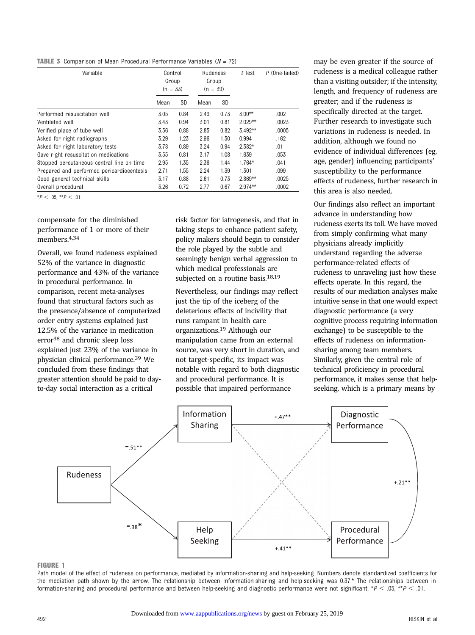**TABLE 3** Comparison of Mean Procedural Performance Variables  $(N = 72)$ 

| Variable                                  | Control<br>Group<br>$(n = 33)$ |           | <b>Rudeness</b><br>Group<br>$(n = 39)$ |      | $t$ Test   | $P$ (One-Tailed) |
|-------------------------------------------|--------------------------------|-----------|----------------------------------------|------|------------|------------------|
|                                           | Mean                           | <b>SD</b> | Mean                                   | SD   |            |                  |
| Performed resuscitation well              | 3.05                           | 0.84      | 2.49                                   | 0.73 | $3.00**$   | .002             |
| Ventilated well                           | 3.43                           | 0.94      | 3.01                                   | 0.81 | $2.029**$  | .0023            |
| Verified place of tube well               | 3.56                           | 0.88      | 2.85                                   | 0.82 | $3.492**$  | .0005            |
| Asked for right radiographs               | 3.29                           | 1.23      | 2.96                                   | 1.50 | 0.994      | .162             |
| Asked for right laboratory tests          | 3.78                           | 0.89      | 3.24                                   | 0.94 | $2.382*$   | .01              |
| Gave right resuscitation medications      | 3.55                           | 0.81      | 3.17                                   | 1.08 | 1.639      | .053             |
| Stopped percutaneous central line on time | 2.95                           | 1.35      | 2.36                                   | 1.44 | $1.764*$   | .041             |
| Prepared and performed pericardiocentesis | 2.71                           | 1.55      | 2.24                                   | 1.39 | 1.301      | .099             |
| Good general technical skills             | 3.17                           | 0.88      | 2.61                                   | 0.73 | $2.869**$  | .0025            |
| Overall procedural                        | 3.26                           | 0.72      | 2.77                                   | 0.67 | $2.974***$ | .0002            |

 $*P < .05, **P < .01.$ 

compensate for the diminished performance of 1 or more of their members.4,34

Overall, we found rudeness explained 52% of the variance in diagnostic performance and 43% of the variance in procedural performance. In comparison, recent meta-analyses found that structural factors such as the presence/absence of computerized order entry systems explained just 12.5% of the variance in medication error38 and chronic sleep loss explained just 23% of the variance in physician clinical performance.39 We concluded from these findings that greater attention should be paid to dayto-day social interaction as a critical

risk factor for iatrogenesis, and that in taking steps to enhance patient safety, policy makers should begin to consider the role played by the subtle and seemingly benign verbal aggression to which medical professionals are subjected on a routine basis.<sup>18,19</sup>

Nevertheless, our findings may reflect just the tip of the iceberg of the deleterious effects of incivility that runs rampant in health care organizations.19 Although our manipulation came from an external source, was very short in duration, and not target-specific, its impact was notable with regard to both diagnostic and procedural performance. It is possible that impaired performance

may be even greater if the source of rudeness is a medical colleague rather than a visiting outsider; if the intensity, length, and frequency of rudeness are greater; and if the rudeness is specifically directed at the target. Further research to investigate such variations in rudeness is needed. In addition, although we found no evidence of individual differences (eg, age, gender) influencing participants' susceptibility to the performance effects of rudeness, further research in this area is also needed.

Our findings also reflect an important advance in understanding how rudeness exerts its toll. We have moved from simply confirming what many physicians already implicitly understand regarding the adverse performance-related effects of rudeness to unraveling just how these effects operate. In this regard, the results of our mediation analyses make intuitive sense in that one would expect diagnostic performance (a very cognitive process requiring information exchange) to be susceptible to the effects of rudeness on informationsharing among team members. Similarly, given the central role of technical proficiency in procedural performance, it makes sense that helpseeking, which is a primary means by



#### FIGURE 1

Path model of the effect of rudeness on performance, mediated by information-sharing and help-seeking. Numbers denote standardized coefficients for the mediation path shown by the arrow. The relationship between information-sharing and help-seeking was 0.37.\* The relationships between information-sharing and procedural performance and between help-seeking and diagnostic performance were not significant. \* $P < .05$ , \*\* $P < .01$ .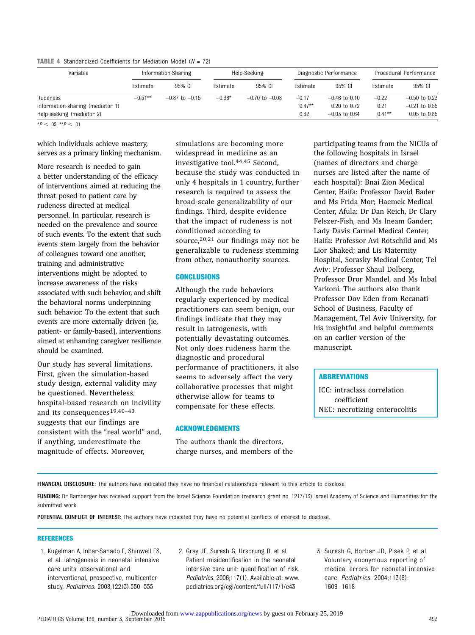**TABLE 4** Standardized Coefficients for Mediation Model ( $N = 72$ )

| Variable                         |            | Information-Sharing |          | Help-Seeking       |          | Diagnostic Performance |           | Procedural Performance |
|----------------------------------|------------|---------------------|----------|--------------------|----------|------------------------|-----------|------------------------|
|                                  | Estimate   | 95% CI              | Estimate | 95% CI             | Estimate | 95% CI                 | Estimate  | 95% CI                 |
| Rudeness                         | $-0.51***$ | $-0.87$ to $-0.15$  | $-0.38*$ | $-0.70$ to $-0.08$ | $-0.17$  | $-0.46$ to $0.10$      | $-0.22$   | $-0.50$ to 0.23        |
| Information-sharing (mediator 1) |            |                     |          |                    | $0.47**$ | $0.20$ to $0.72$       | 0.21      | $-0.21$ to 0.55        |
| Help-seeking (mediator 2)        |            |                     |          |                    | 0.32     | $-0.03$ to 0.64        | $0.41***$ | 0.05 to 0.85           |

 $*P < .05, **P < .01.$ 

which individuals achieve mastery, serves as a primary linking mechanism.

More research is needed to gain a better understanding of the efficacy of interventions aimed at reducing the threat posed to patient care by rudeness directed at medical personnel. In particular, research is needed on the prevalence and source of such events. To the extent that such events stem largely from the behavior of colleagues toward one another, training and administrative interventions might be adopted to increase awareness of the risks associated with such behavior, and shift the behavioral norms underpinning such behavior. To the extent that such events are more externally driven (ie, patient- or family-based), interventions aimed at enhancing caregiver resilience should be examined.

Our study has several limitations. First, given the simulation-based study design, external validity may be questioned. Nevertheless, hospital-based research on incivility and its consequences19,40–<sup>43</sup> suggests that our findings are consistent with the "real world" and, if anything, underestimate the magnitude of effects. Moreover,

simulations are becoming more widespread in medicine as an investigative tool.44,45 Second, because the study was conducted in only 4 hospitals in 1 country, further research is required to assess the broad-scale generalizability of our findings. Third, despite evidence that the impact of rudeness is not conditioned according to source, $20,21$  our findings may not be generalizable to rudeness stemming from other, nonauthority sources.

#### **CONCLUSIONS**

Although the rude behaviors regularly experienced by medical practitioners can seem benign, our findings indicate that they may result in iatrogenesis, with potentially devastating outcomes. Not only does rudeness harm the diagnostic and procedural performance of practitioners, it also seems to adversely affect the very collaborative processes that might otherwise allow for teams to compensate for these effects.

#### ACKNOWLEDGMENTS

The authors thank the directors, charge nurses, and members of the participating teams from the NICUs of the following hospitals in Israel (names of directors and charge nurses are listed after the name of each hospital): Bnai Zion Medical Center, Haifa: Professor David Bader and Ms Frida Mor; Haemek Medical Center, Afula: Dr Dan Reich, Dr Clary Felszer-Fish, and Ms Ineam Gander; Lady Davis Carmel Medical Center, Haifa: Professor Avi Rotschild and Ms Lior Shaked; and Lis Maternity Hospital, Sorasky Medical Center, Tel Aviv: Professor Shaul Dolberg, Professor Dror Mandel, and Ms Inbal Yarkoni. The authors also thank Professor Dov Eden from Recanati School of Business, Faculty of Management, Tel Aviv University, for his insightful and helpful comments on an earlier version of the manuscript.

#### ABBREVIATIONS

ICC: intraclass correlation coefficient NEC: necrotizing enterocolitis

FINANCIAL DISCLOSURE: The authors have indicated they have no financial relationships relevant to this article to disclose.

FUNDING: Dr Bamberger has received support from the Israel Science Foundation (research grant no. 1217/13) Israel Academy of Science and Humanities for the submitted work.

POTENTIAL CONFLICT OF INTEREST: The authors have indicated they have no potential conflicts of interest to disclose.

#### REFERENCES

- 1. Kugelman A, Inbar-Sanado E, Shinwell ES, et al. Iatrogenesis in neonatal intensive care units: observational and interventional, prospective, multicenter study. Pediatrics. 2008;122(3):550–555
- 2. Gray JE, Suresh G, Ursprung R, et al. Patient misidentification in the neonatal intensive care unit: quantification of risk. Pediatrics. 2006;117(1). Available at: [www.](http://www.pediatrics.org/cgi/content/full/117/1/e43) [pediatrics.org/cgi/content/full/117/1/e43](http://www.pediatrics.org/cgi/content/full/117/1/e43)
- 3. Suresh G, Horbar JD, Plsek P, et al. Voluntary anonymous reporting of medical errors for neonatal intensive care. Pediatrics. 2004;113(6): 1609–1618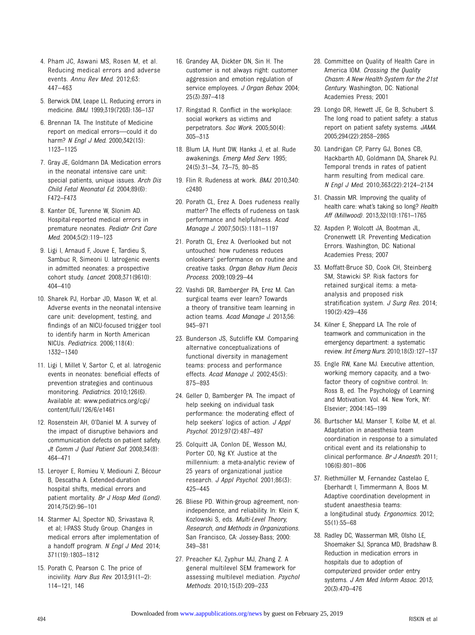- 4. Pham JC, Aswani MS, Rosen M, et al. Reducing medical errors and adverse events. Annu Rev Med. 2012;63: 447–463
- 5. Berwick DM, Leape LL. Reducing errors in medicine. BMJ. 1999;319(7203):136–137
- 6. Brennan TA. The Institute of Medicine report on medical errors—could it do harm? N Engl J Med. 2000;342(15): 1123–1125
- 7. Gray JE, Goldmann DA. Medication errors in the neonatal intensive care unit: special patients, unique issues. Arch Dis Child Fetal Neonatal Ed. 2004;89(6): F472–F473
- 8. Kanter DE, Turenne W, Slonim AD. Hospital-reported medical errors in premature neonates. Pediatr Crit Care Med. 2004;5(2):119–123
- 9. Ligi I, Arnaud F, Jouve E, Tardieu S, Sambuc R, Simeoni U. Iatrogenic events in admitted neonates: a prospective cohort study. Lancet. 2008;371(9610): 404–410
- 10. Sharek PJ, Horbar JD, Mason W, et al. Adverse events in the neonatal intensive care unit: development, testing, and findings of an NICU-focused trigger tool to identify harm in North American NICUs. Pediatrics. 2006;118(4): 1332–1340
- 11. Ligi I, Millet V, Sartor C, et al. Iatrogenic events in neonates: beneficial effects of prevention strategies and continuous monitoring. Pediatrics. 2010;126(6). Available at: [www.pediatrics.org/cgi/](http://www.pediatrics.org/cgi/content/full/126/6/e1461) [content/full/126/6/e1461](http://www.pediatrics.org/cgi/content/full/126/6/e1461)
- 12. Rosenstein AH, O'Daniel M. A survey of the impact of disruptive behaviors and communication defects on patient safety. Jt Comm J Qual Patient Saf. 2008;34(8): 464–471
- 13. Leroyer E, Romieu V, Mediouni Z, Bécour B, Descatha A. Extended-duration hospital shifts, medical errors and patient mortality. Br J Hosp Med (Lond). 2014;75(2):96–101
- 14. Starmer AJ, Spector ND, Srivastava R, et al; I-PASS Study Group. Changes in medical errors after implementation of a handoff program. N Engl J Med. 2014; 371(19):1803–1812
- 15. Porath C, Pearson C. The price of incivility. Harv Bus Rev. 2013;91(1-2): 114–121, 146
- 16. Grandey AA, Dickter DN, Sin H. The customer is not always right: customer aggression and emotion regulation of service employees. J Organ Behav. 2004; 25(3):397–418
- 17. Ringstad R. Conflict in the workplace: social workers as victims and perpetrators. Soc Work. 2005;50(4): 305–313
- 18. Blum LA, Hunt DW, Hanks J, et al. Rude awakenings. Emerg Med Serv. 1995; 24(5):31–34, 73–75, 80–85
- 19. Flin R. Rudeness at work. BMJ. 2010;340: c2480
- 20. Porath CL, Erez A. Does rudeness really matter? The effects of rudeness on task performance and helpfulness. Acad Manage J. 2007;50(5):1181–1197
- 21. Porath CL, Erez A. Overlooked but not untouched: how rudeness reduces onlookers' performance on routine and creative tasks. Organ Behav Hum Decis Process. 2009;109:29–44
- 22. Vashdi DR, Bamberger PA, Erez M. Can surgical teams ever learn? Towards a theory of transitive team learning in action teams. Acad Manage J. 2013;56: 945–971
- 23. Bunderson JS, Sutcliffe KM. Comparing alternative conceptualizations of functional diversity in management teams: process and performance effects. Acad Manage J. 2002;45(5): 875–893
- 24. Geller D, Bamberger PA. The impact of help seeking on individual task performance: the moderating effect of help seekers' logics of action. J Appl Psychol. 2012;97(2):487–497
- 25. Colquitt JA, Conlon DE, Wesson MJ, Porter CO, Ng KY. Justice at the millennium: a meta-analytic review of 25 years of organizational justice research. J Appl Psychol. 2001;86(3): 425–445
- 26. Bliese PD. Within-group agreement, nonindependence, and reliability. In: Klein K, Kozlowski S, eds. Multi-Level Theory, Research, and Methods in Organizations. San Francisco, CA: Jossey-Bass; 2000: 349–381
- 27. Preacher KJ, Zyphur MJ, Zhang Z. A general multilevel SEM framework for assessing multilevel mediation. Psychol Methods. 2010;15(3):209–233
- 28. Committee on Quality of Health Care in America IOM. Crossing the Quality Chasm: A New Health System for the 21st Century. Washington, DC: National Academies Press; 2001
- 29. Longo DR, Hewett JE, Ge B, Schubert S. The long road to patient safety: a status report on patient safety systems. JAMA. 2005;294(22):2858–2865
- 30. Landrigan CP, Parry GJ, Bones CB, Hackbarth AD, Goldmann DA, Sharek PJ. Temporal trends in rates of patient harm resulting from medical care. N Engl J Med. 2010;363(22):2124–2134
- 31. Chassin MR. Improving the quality of health care: what's taking so long? Health Aff (Millwood). 2013;32(10):1761–1765
- 32. Aspden P, Wolcott JA, Bootman JL, Cronenwett LR. Preventing Medication Errors. Washington, DC: National Academies Press; 2007
- 33. Moffatt-Bruce SD, Cook CH, Steinberg SM, Stawicki SP. Risk factors for retained surgical items: a metaanalysis and proposed risk stratification system. J Surg Res. 2014; 190(2):429–436
- 34. Kilner E, Sheppard LA. The role of teamwork and communication in the emergency department: a systematic review. Int Emerg Nurs. 2010;18(3):127–137
- 35. Engle RW, Kane MJ. Executive attention, working memory capacity, and a twofactor theory of cognitive control. In: Ross B, ed. The Psychology of Learning and Motivation. Vol. 44. New York, NY: Elsevier; 2004:145–199
- 36. Burtscher MJ, Manser T, Kolbe M, et al. Adaptation in anaesthesia team coordination in response to a simulated critical event and its relationship to clinical performance. Br J Anaesth. 2011; 106(6):801–806
- 37. Riethmüller M, Fernandez Castelao E, Eberhardt I, Timmermann A, Boos M. Adaptive coordination development in student anaesthesia teams: a longitudinal study. Ergonomics. 2012; 55(1):55–68
- 38. Radley DC, Wasserman MR, Olsho LE, Shoemaker SJ, Spranca MD, Bradshaw B. Reduction in medication errors in hospitals due to adoption of computerized provider order entry systems. J Am Med Inform Assoc. 2013; 20(3):470–476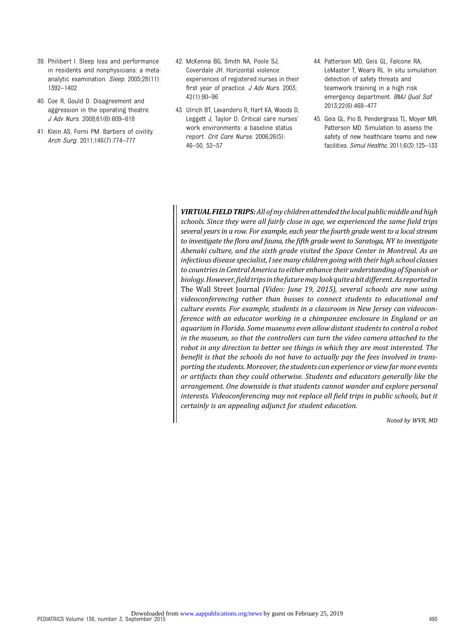- 39. Philibert I. Sleep loss and performance in residents and nonphysicians: a metaanalytic examination. Sleep. 2005;28(11): 1392–1402
- 40. Coe R, Gould D. Disagreement and aggression in the operating theatre. J Adv Nurs. 2008;61(6):609–618
- 41. Klein AS, Forni PM. Barbers of civility. Arch Surg. 2011;146(7):774–777
- 42. McKenna BG, Smith NA, Poole SJ, Coverdale JH. Horizontal violence: experiences of registered nurses in their first year of practice. J Adv Nurs. 2003; 42(1):90–96
- 43. Ulrich BT, Lavandero R, Hart KA, Woods D, Leggett J, Taylor D. Critical care nurses' work environments: a baseline status report. Crit Care Nurse. 2006;26(5): 46–50, 52–57
- 44. Patterson MD, Geis GL, Falcone RA, LeMaster T, Wears RL. In situ simulation: detection of safety threats and teamwork training in a high risk emergency department. BMJ Qual Saf. 2013;22(6):468–477
- 45. Geis GL, Pio B, Pendergrass TL, Moyer MR, Patterson MD. Simulation to assess the safety of new healthcare teams and new facilities. Simul Healthc. 2011;6(3):125–133

VIRTUAL FIELD TRIPS: All of my children attended the local public middle and high schools. Since they were all fairly close in age, we experienced the same field trips several years in a row. For example, each year the fourth grade went to a local stream to investigate the flora and fauna, the fifth grade went to Saratoga, NY to investigate Abenaki culture, and the sixth grade visited the Space Center in Montreal. As an infectious disease specialist, I see many children going with their high school classes to countries in Central America to either enhance their understanding of Spanish or biology.However,field tripsin thefuturemaylookquite a bit different.As reportedin The Wall Street Journal (Video: June 19, 2015), several schools are now using videoconferencing rather than busses to connect students to educational and culture events. For example, students in a classroom in New Jersey can videoconference with an educator working in a chimpanzee enclosure in England or an aquarium in Florida. Some museums even allow distant students to control a robot in the museum, so that the controllers can turn the video camera attached to the robot in any direction to better see things in which they are most interested. The benefit is that the schools do not have to actually pay the fees involved in transporting the students. Moreover, the students can experience or view far more events or artifacts than they could otherwise. Students and educators generally like the arrangement. One downside is that students cannot wander and explore personal interests. Videoconferencing may not replace all field trips in public schools, but it certainly is an appealing adjunct for student education.

Noted by WVR, MD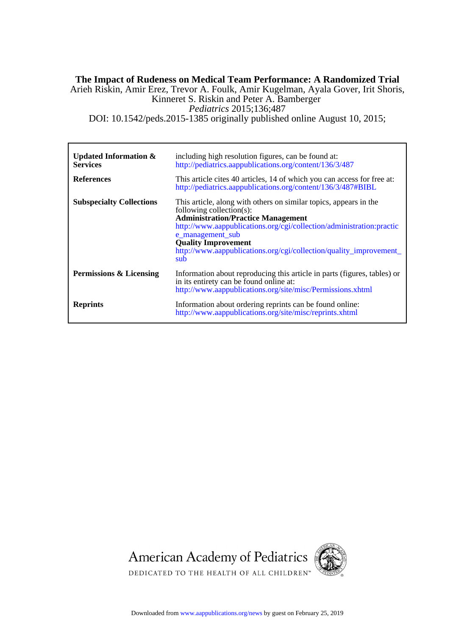# DOI: 10.1542/peds.2015-1385 originally published online August 10, 2015; *Pediatrics* 2015;136;487 Kinneret S. Riskin and Peter A. Bamberger Arieh Riskin, Amir Erez, Trevor A. Foulk, Amir Kugelman, Ayala Gover, Irit Shoris, **The Impact of Rudeness on Medical Team Performance: A Randomized Trial**

| <b>Updated Information &amp;</b><br><b>Services</b><br><b>References</b> | including high resolution figures, can be found at:<br>http://pediatrics.aappublications.org/content/136/3/487<br>This article cites 40 articles, 14 of which you can access for free at:<br>http://pediatrics.aappublications.org/content/136/3/487#BIBL                                                                                         |
|--------------------------------------------------------------------------|---------------------------------------------------------------------------------------------------------------------------------------------------------------------------------------------------------------------------------------------------------------------------------------------------------------------------------------------------|
| <b>Subspecialty Collections</b>                                          | This article, along with others on similar topics, appears in the<br>following collection(s):<br><b>Administration/Practice Management</b><br>http://www.aappublications.org/cgi/collection/administration:practic<br>e_management_sub<br><b>Quality Improvement</b><br>http://www.aappublications.org/cgi/collection/quality_improvement_<br>sub |
| Permissions & Licensing                                                  | Information about reproducing this article in parts (figures, tables) or<br>in its entirety can be found online at:<br>http://www.aappublications.org/site/misc/Permissions.xhtml                                                                                                                                                                 |
| <b>Reprints</b>                                                          | Information about ordering reprints can be found online:<br>http://www.aappublications.org/site/misc/reprints.xhtml                                                                                                                                                                                                                               |